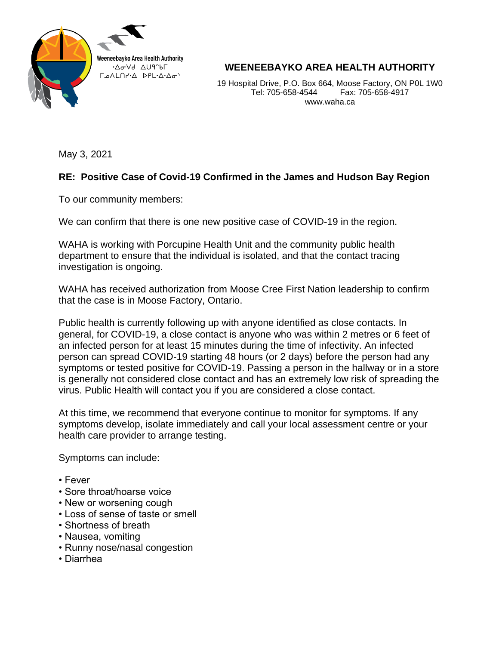

**WEENEEBAYKO AREA HEALTH AUTHORITY**

19 Hospital Drive, P.O. Box 664, Moose Factory, ON P0L 1W0 Tel: 705-658-4544 Fax: 705-658-4917 www.waha.ca

May 3, 2021

## **RE: Positive Case of Covid-19 Confirmed in the James and Hudson Bay Region**

To our community members:

We can confirm that there is one new positive case of COVID-19 in the region.

WAHA is working with Porcupine Health Unit and the community public health department to ensure that the individual is isolated, and that the contact tracing investigation is ongoing.

WAHA has received authorization from Moose Cree First Nation leadership to confirm that the case is in Moose Factory, Ontario.

Public health is currently following up with anyone identified as close contacts. In general, for COVID-19, a close contact is anyone who was within 2 metres or 6 feet of an infected person for at least 15 minutes during the time of infectivity. An infected person can spread COVID-19 starting 48 hours (or 2 days) before the person had any symptoms or tested positive for COVID-19. Passing a person in the hallway or in a store is generally not considered close contact and has an extremely low risk of spreading the virus. Public Health will contact you if you are considered a close contact.

At this time, we recommend that everyone continue to monitor for symptoms. If any symptoms develop, isolate immediately and call your local assessment centre or your health care provider to arrange testing.

Symptoms can include:

- Fever
- Sore throat/hoarse voice
- New or worsening cough
- Loss of sense of taste or smell
- Shortness of breath
- Nausea, vomiting
- Runny nose/nasal congestion
- Diarrhea